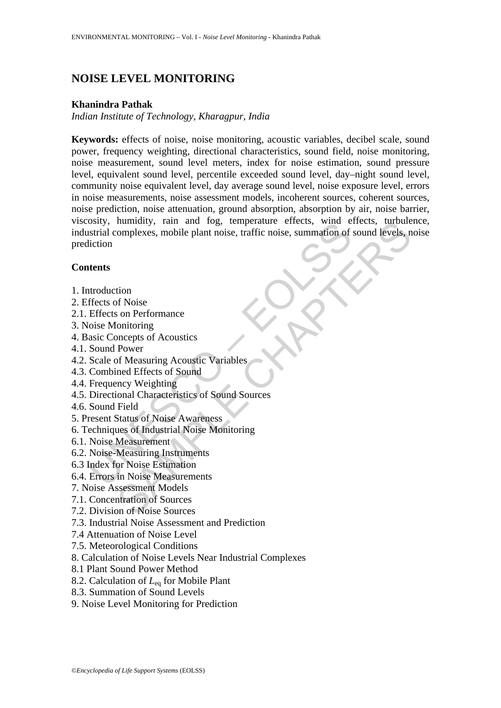# **NOISE LEVEL MONITORING**

### **Khanindra Pathak**

*Indian Institute of Technology, Kharagpur, India* 

Shiy, inimitary, Tain and Tog, temperature errects, while<br>the starial complexes, mobile plant noise, traffic noise, summation of<br>terms<br>that at complexes, mobile plant noise, traffic noise, summation of<br>terms<br>that the star numidity, rain and rog, temperature errects, wind errects, turbule<br>complexes, mobile plant noise, traffic noise, summation of sound levels, n<br>tion<br>complexes, mobile plant noise, traffic noise, summation of sound levels,<br>n<br> **Keywords:** effects of noise, noise monitoring, acoustic variables, decibel scale, sound power, frequency weighting, directional characteristics, sound field, noise monitoring, noise measurement, sound level meters, index for noise estimation, sound pressure level, equivalent sound level, percentile exceeded sound level, day–night sound level, community noise equivalent level, day average sound level, noise exposure level, errors in noise measurements, noise assessment models, incoherent sources, coherent sources, noise prediction, noise attenuation, ground absorption, absorption by air, noise barrier, viscosity, humidity, rain and fog, temperature effects, wind effects, turbulence, industrial complexes, mobile plant noise, traffic noise, summation of sound levels, noise prediction

# **Contents**

- 1. Introduction
- 2. Effects of Noise
- 2.1. Effects on Performance
- 3. Noise Monitoring
- 4. Basic Concepts of Acoustics
- 4.1. Sound Power
- 4.2. Scale of Measuring Acoustic Variables
- 4.3. Combined Effects of Sound
- 4.4. Frequency Weighting
- 4.5. Directional Characteristics of Sound Sources
- 4.6. Sound Field
- 5. Present Status of Noise Awareness
- 6. Techniques of Industrial Noise Monitoring
- 6.1. Noise Measurement
- 6.2. Noise-Measuring Instruments
- 6.3 Index for Noise Estimation
- 6.4. Errors in Noise Measurements
- 7. Noise Assessment Models
- 7.1. Concentration of Sources
- 7.2. Division of Noise Sources
- 7.3. Industrial Noise Assessment and Prediction
- 7.4 Attenuation of Noise Level
- 7.5. Meteorological Conditions
- 8. Calculation of Noise Levels Near Industrial Complexes
- 8.1 Plant Sound Power Method
- 8.2. Calculation of *L*eq for Mobile Plant
- 8.3. Summation of Sound Levels
- 9. Noise Level Monitoring for Prediction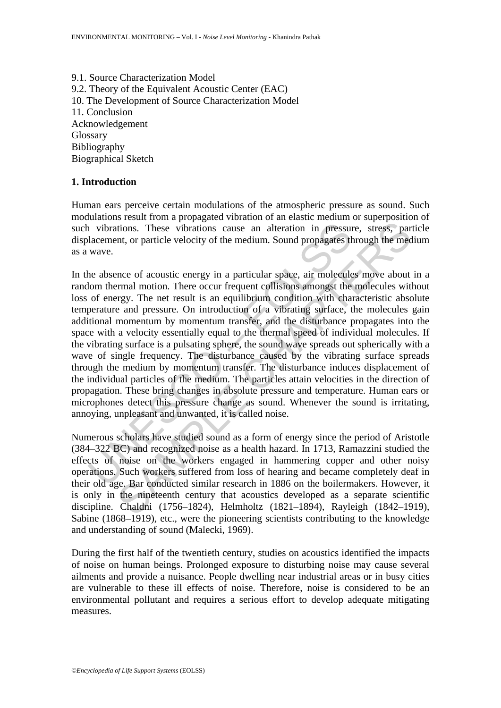9.1. Source Characterization Model 9.2. Theory of the Equivalent Acoustic Center (EAC) 10. The Development of Source Characterization Model 11. Conclusion Acknowledgement Glossary Bibliography Biographical Sketch

## **1. Introduction**

Human ears perceive certain modulations of the atmospheric pressure as sound. Such modulations result from a propagated vibration of an elastic medium or superposition of such vibrations. These vibrations cause an alteration in pressure, stress, particle displacement, or particle velocity of the medium. Sound propagates through the medium as a wave.

1 vibrations. These vibrations cause an alteration in pressure<br>lacement, or particle velocity of the medium. Sound propagates th<br>wave.<br>the absence of acoustic energy in a particular space, air molecule<br>lom thermal motion. itions. These vibrations cause an alteration in pressure, stress, par<br>nt, or particle velocity of the medium. Sound propagates through the med<br>mec of acoustic energy in a particular space, air molecules move about<br>rrmal mo In the absence of acoustic energy in a particular space, air molecules move about in a random thermal motion. There occur frequent collisions amongst the molecules without loss of energy. The net result is an equilibrium condition with characteristic absolute temperature and pressure. On introduction of a vibrating surface, the molecules gain additional momentum by momentum transfer, and the disturbance propagates into the space with a velocity essentially equal to the thermal speed of individual molecules. If the vibrating surface is a pulsating sphere, the sound wave spreads out spherically with a wave of single frequency. The disturbance caused by the vibrating surface spreads through the medium by momentum transfer. The disturbance induces displacement of the individual particles of the medium. The particles attain velocities in the direction of propagation. These bring changes in absolute pressure and temperature. Human ears or microphones detect this pressure change as sound. Whenever the sound is irritating, annoying, unpleasant and unwanted, it is called noise.

Numerous scholars have studied sound as a form of energy since the period of Aristotle (384–322 BC) and recognized noise as a health hazard. In 1713, Ramazzini studied the effects of noise on the workers engaged in hammering copper and other noisy operations. Such workers suffered from loss of hearing and became completely deaf in their old age. Bar conducted similar research in 1886 on the boilermakers. However, it is only in the nineteenth century that acoustics developed as a separate scientific discipline. Chaldni (1756–1824), Helmholtz (1821–1894), Rayleigh (1842–1919), Sabine (1868–1919), etc., were the pioneering scientists contributing to the knowledge and understanding of sound (Malecki, 1969).

During the first half of the twentieth century, studies on acoustics identified the impacts of noise on human beings. Prolonged exposure to disturbing noise may cause several ailments and provide a nuisance. People dwelling near industrial areas or in busy cities are vulnerable to these ill effects of noise. Therefore, noise is considered to be an environmental pollutant and requires a serious effort to develop adequate mitigating measures.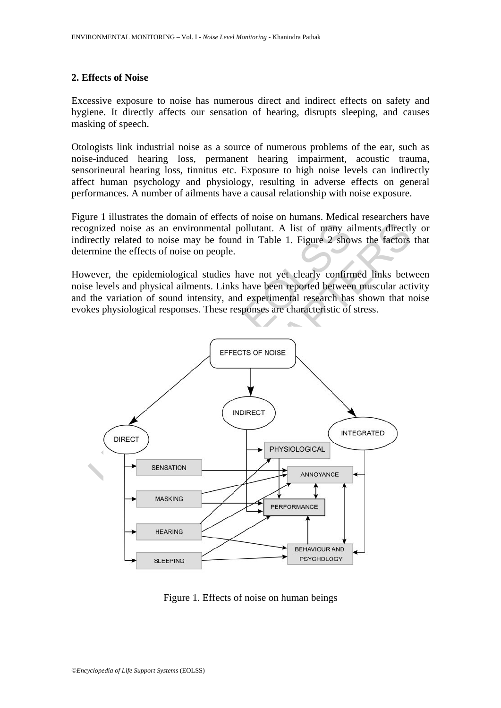#### **2. Effects of Noise**

Excessive exposure to noise has numerous direct and indirect effects on safety and hygiene. It directly affects our sensation of hearing, disrupts sleeping, and causes masking of speech.

Otologists link industrial noise as a source of numerous problems of the ear, such as noise-induced hearing loss, permanent hearing impairment, acoustic trauma, sensorineural hearing loss, tinnitus etc. Exposure to high noise levels can indirectly affect human psychology and physiology, resulting in adverse effects on general performances. A number of ailments have a causal relationship with noise exposure.

Figure 1 illustrates the domain of effects of noise on humans. Medical researchers have recognized noise as an environmental pollutant. A list of many ailments directly or indirectly related to noise may be found in Table 1. Figure 2 shows the factors that determine the effects of noise on people.

However, the epidemiological studies have not yet clearly confirmed links between noise levels and physical ailments. Links have been reported between muscular activity and the variation of sound intensity, and experimental research has shown that noise evokes physiological responses. These responses are characteristic of stress.



Figure 1. Effects of noise on human beings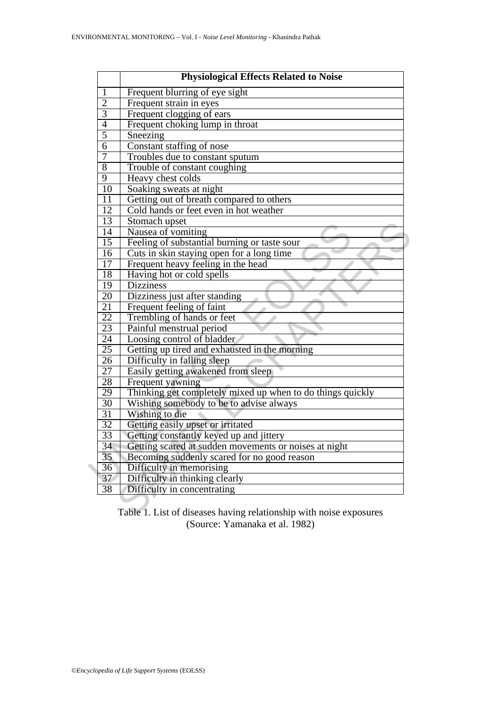| 1               | <b>Physiological Effects Related to Noise</b><br>Frequent blurring of eye sight    |  |  |  |  |  |  |
|-----------------|------------------------------------------------------------------------------------|--|--|--|--|--|--|
| $\overline{2}$  | Frequent strain in eyes                                                            |  |  |  |  |  |  |
| $\overline{3}$  | Frequent clogging of ears                                                          |  |  |  |  |  |  |
| $\overline{4}$  | Frequent choking lump in throat                                                    |  |  |  |  |  |  |
| $\overline{5}$  | Sneezing                                                                           |  |  |  |  |  |  |
| $\overline{6}$  | Constant staffing of nose                                                          |  |  |  |  |  |  |
| $\overline{7}$  | Troubles due to constant sputum                                                    |  |  |  |  |  |  |
| 8               | Trouble of constant coughing                                                       |  |  |  |  |  |  |
| $\overline{9}$  | Heavy chest colds                                                                  |  |  |  |  |  |  |
| 10              | Soaking sweats at night                                                            |  |  |  |  |  |  |
| 11              |                                                                                    |  |  |  |  |  |  |
| 12              | Getting out of breath compared to others<br>Cold hands or feet even in hot weather |  |  |  |  |  |  |
| 13              | Stomach upset                                                                      |  |  |  |  |  |  |
| $\overline{14}$ | Nausea of vomiting                                                                 |  |  |  |  |  |  |
| $\overline{15}$ | Feeling of substantial burning or taste sour                                       |  |  |  |  |  |  |
| 16              | Cuts in skin staying open for a long time                                          |  |  |  |  |  |  |
| 17              | Frequent heavy feeling in the head                                                 |  |  |  |  |  |  |
| 18              | Having hot or cold spells                                                          |  |  |  |  |  |  |
| 19              | <b>Dizziness</b>                                                                   |  |  |  |  |  |  |
| 20              | Dizziness just after standing                                                      |  |  |  |  |  |  |
| $\overline{21}$ | Frequent feeling of faint                                                          |  |  |  |  |  |  |
| 22              | Trembling of hands or feet                                                         |  |  |  |  |  |  |
| $\overline{23}$ | Painful menstrual period                                                           |  |  |  |  |  |  |
| 24              | Loosing control of bladder                                                         |  |  |  |  |  |  |
| $\overline{25}$ | Getting up tired and exhausted in the morning                                      |  |  |  |  |  |  |
| 26              | Difficulty in falling sleep                                                        |  |  |  |  |  |  |
| $\overline{27}$ | Easily getting awakened from sleep                                                 |  |  |  |  |  |  |
| 28              | Frequent yawning                                                                   |  |  |  |  |  |  |
| 29              | Thinking get completely mixed up when to do things quickly                         |  |  |  |  |  |  |
| 30              | Wishing somebody to be to advise always                                            |  |  |  |  |  |  |
| $\overline{31}$ | Wishing to die                                                                     |  |  |  |  |  |  |
| 32              | Getting easily upset or irritated                                                  |  |  |  |  |  |  |
| 33              | Getting constantly keyed up and jittery                                            |  |  |  |  |  |  |
| $\overline{34}$ | Getting scared at sudden movements or noises at night                              |  |  |  |  |  |  |
| $\overline{35}$ | Becoming suddenly scared for no good reason                                        |  |  |  |  |  |  |
| 36              | Difficulty in memorising                                                           |  |  |  |  |  |  |
| 37              | Difficulty in thinking clearly                                                     |  |  |  |  |  |  |
| 38              | Difficulty in concentrating                                                        |  |  |  |  |  |  |

Table 1. List of diseases having relationship with noise exposures (Source: Yamanaka et al. 1982)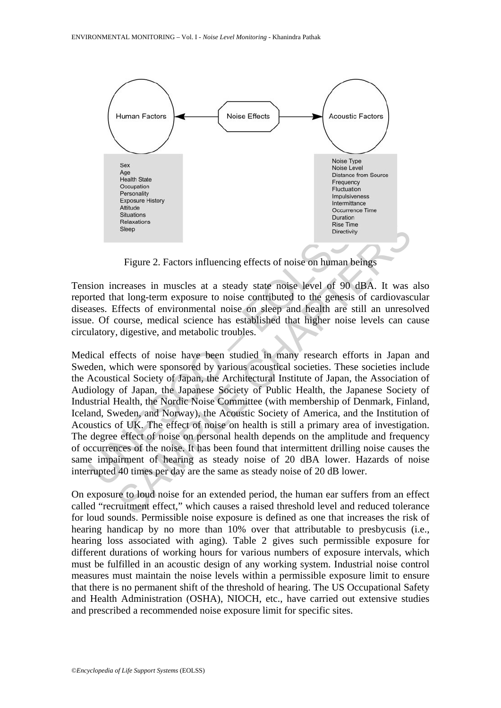

Figure 2. Factors influencing effects of noise on human beings

Tension increases in muscles at a steady state noise level of 90 dBA. It was also reported that long-term exposure to noise contributed to the genesis of cardiovascular diseases. Effects of environmental noise on sleep and health are still an unresolved issue. Of course, medical science has established that higher noise levels can cause circulatory, digestive, and metabolic troubles.

Reasons<br>
Sietep<br>
Figure 2. Factors influencing effects of noise on human b<br>
Since Sieter<br>
Figure 2. Factors influencing effects of noise on human b<br>
sion increases in muscles at a steady state noise level of 90<br>
orted that Release The Blue Comparison and Reservations<br>
Slong Theoretow,<br>
Slong-term exposure to noise controlled to the general contents of entropy<br>
Slong-term exposure to noise contributed to the general soft cardiovates<br>
differen Medical effects of noise have been studied in many research efforts in Japan and Sweden, which were sponsored by various acoustical societies. These societies include the Acoustical Society of Japan, the Architectural Institute of Japan, the Association of Audiology of Japan, the Japanese Society of Public Health, the Japanese Society of Industrial Health, the Nordic Noise Committee (with membership of Denmark, Finland, Iceland, Sweden, and Norway), the Acoustic Society of America, and the Institution of Acoustics of UK. The effect of noise on health is still a primary area of investigation. The degree effect of noise on personal health depends on the amplitude and frequency of occurrences of the noise. It has been found that intermittent drilling noise causes the same impairment of hearing as steady noise of 20 dBA lower. Hazards of noise interrupted 40 times per day are the same as steady noise of 20 dB lower.

On exposure to loud noise for an extended period, the human ear suffers from an effect called "recruitment effect," which causes a raised threshold level and reduced tolerance for loud sounds. Permissible noise exposure is defined as one that increases the risk of hearing handicap by no more than 10% over that attributable to presbycusis (i.e., hearing loss associated with aging). Table 2 gives such permissible exposure for different durations of working hours for various numbers of exposure intervals, which must be fulfilled in an acoustic design of any working system. Industrial noise control measures must maintain the noise levels within a permissible exposure limit to ensure that there is no permanent shift of the threshold of hearing. The US Occupational Safety and Health Administration (OSHA), NIOCH, etc., have carried out extensive studies and prescribed a recommended noise exposure limit for specific sites.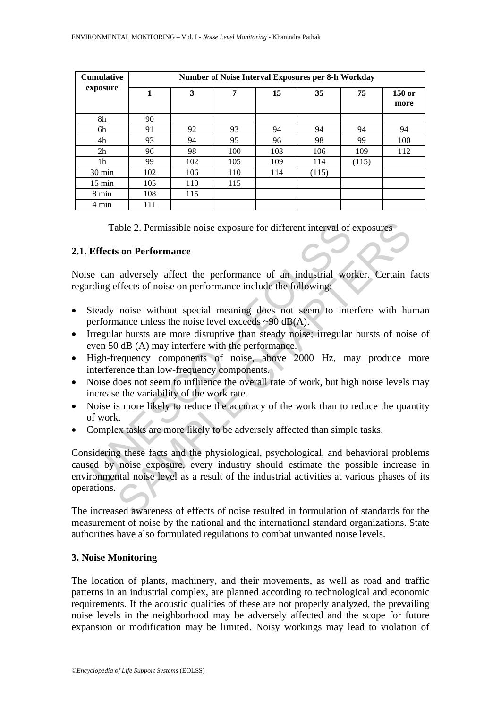| <b>Cumulative</b> | <b>Number of Noise Interval Exposures per 8-h Workday</b> |     |     |     |       |       |                |  |
|-------------------|-----------------------------------------------------------|-----|-----|-----|-------|-------|----------------|--|
| exposure          |                                                           | 3   | 7   | 15  | 35    | 75    | 150 or<br>more |  |
| 8h                | 90                                                        |     |     |     |       |       |                |  |
| 6h                | 91                                                        | 92  | 93  | 94  | 94    | 94    | 94             |  |
| 4h                | 93                                                        | 94  | 95  | 96  | 98    | 99    | 100            |  |
| 2h                | 96                                                        | 98  | 100 | 103 | 106   | 109   | 112            |  |
| 1 <sub>h</sub>    | 99                                                        | 102 | 105 | 109 | 114   | (115) |                |  |
| 30 min            | 102                                                       | 106 | 110 | 114 | (115) |       |                |  |
| $15 \text{ min}$  | 105                                                       | 110 | 115 |     |       |       |                |  |
| 8 min             | 108                                                       | 115 |     |     |       |       |                |  |
| 4 min             | 111                                                       |     |     |     |       |       |                |  |

Table 2. Permissible noise exposure for different interval of exposures

# **2.1. Effects on Performance**

Noise can adversely affect the performance of an industrial worker. Certain facts regarding effects of noise on performance include the following:

- Steady noise without special meaning does not seem to interfere with human performance unless the noise level exceeds  $\sim 90$  dB(A).
- Irregular bursts are more disruptive than steady noise; irregular bursts of noise of even 50 dB (A) may interfere with the performance.
- High-frequency components of noise, above 2000 Hz, may produce more interference than low-frequency components.
- Noise does not seem to influence the overall rate of work, but high noise levels may increase the variability of the work rate.
- Noise is more likely to reduce the accuracy of the work than to reduce the quantity of work.
- Complex tasks are more likely to be adversely affected than simple tasks.

Table 2. Permissible noise exposure for different interval of of<br> **Effects on Performance**<br>
se can adversely affect the performance of an industrial wording effects of noise on performance include the following:<br>
Steady no able 2. Permissible noise exposure for different interval of exposures<br>
son Performance<br>
adversely affect the performance of an industrial worker. Certain f<br>
ffects of noise on performance include the following:<br>
noise wit Considering these facts and the physiological, psychological, and behavioral problems caused by noise exposure, every industry should estimate the possible increase in environmental noise level as a result of the industrial activities at various phases of its operations.

The increased awareness of effects of noise resulted in formulation of standards for the measurement of noise by the national and the international standard organizations. State authorities have also formulated regulations to combat unwanted noise levels.

# **3. Noise Monitoring**

The location of plants, machinery, and their movements, as well as road and traffic patterns in an industrial complex, are planned according to technological and economic requirements. If the acoustic qualities of these are not properly analyzed, the prevailing noise levels in the neighborhood may be adversely affected and the scope for future expansion or modification may be limited. Noisy workings may lead to violation of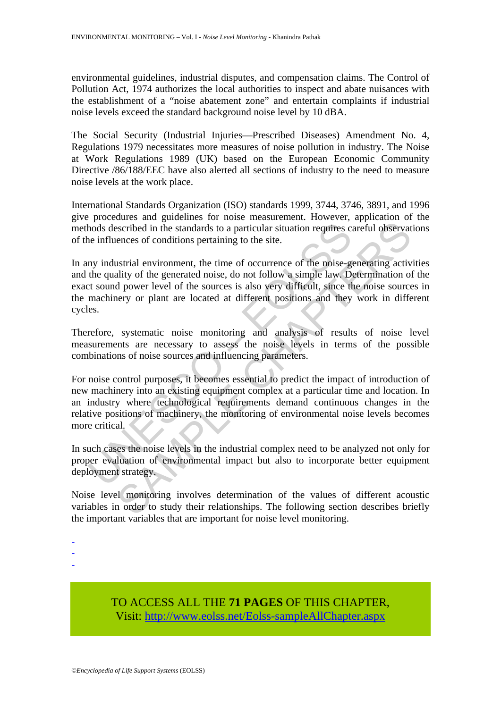environmental guidelines, industrial disputes, and compensation claims. The Control of Pollution Act, 1974 authorizes the local authorities to inspect and abate nuisances with the establishment of a "noise abatement zone" and entertain complaints if industrial noise levels exceed the standard background noise level by 10 dBA.

The Social Security (Industrial Injuries—Prescribed Diseases) Amendment No. 4, Regulations 1979 necessitates more measures of noise pollution in industry. The Noise at Work Regulations 1989 (UK) based on the European Economic Community Directive /86/188/EEC have also alerted all sections of industry to the need to measure noise levels at the work place.

International Standards Organization (ISO) standards 1999, 3744, 3746, 3891, and 1996 give procedures and guidelines for noise measurement. However, application of the methods described in the standards to a particular situation requires careful observations of the influences of conditions pertaining to the site.

In any industrial environment, the time of occurrence of the noise-generating activities and the quality of the generated noise, do not follow a simple law. Determination of the exact sound power level of the sources is also very difficult, since the noise sources in the machinery or plant are located at different positions and they work in different cycles.

Therefore, systematic noise monitoring and analysis of results of noise level measurements are necessary to assess the noise levels in terms of the possible combinations of noise sources and influencing parameters.

hods described in the standards to a particular situation requires c:<br>e influences of conditions pertaining to the site.<br>my industrial environment, the time of occurrence of the noise-g<br>the quality of the generated noise, exercibed in the standards to a particular situation requires careful observat<br>ences of conditions pertaining to the site.<br>
ustrial environment, the time of occurrence of the noise-generating active<br>
ustrial environment, t For noise control purposes, it becomes essential to predict the impact of introduction of new machinery into an existing equipment complex at a particular time and location. In an industry where technological requirements demand continuous changes in the relative positions of machinery, the monitoring of environmental noise levels becomes more critical.

In such cases the noise levels in the industrial complex need to be analyzed not only for proper evaluation of environmental impact but also to incorporate better equipment deployment strategy.

Noise level monitoring involves determination of the values of different acoustic variables in order to study their relationships. The following section describes briefly the important variables that are important for noise level monitoring.

-

-

-

TO ACCESS ALL THE **71 PAGES** OF THIS CHAPTER, Visit[: http://www.eolss.net/Eolss-sampleAllChapter.aspx](https://www.eolss.net/ebooklib/sc_cart.aspx?File=E6-38A-03-07)